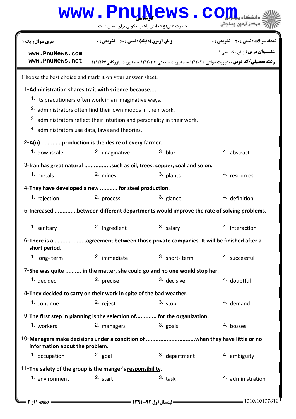## حضرت علي(ع): دانش راهبر نيكويي براي ايمان است www.Pnu<u>N</u>ews.com **عنـــوان درس:** زبان تخصصي ۱ **رشته تحصیلی/کد درس: م**مدیریت دولتی ۱۲۱۲۰۲۲ - ،مدیریت صنعتی ۱۲۱۲۰۳۳ - ،مدیریت بازرگانی۱۲۱۲۶۶ تعداد سوالات : تستي تشريحي زمان آزمون (دقيقه) : تستي تشريحي سري سوال # \$ &: '&: & %&: : : 1-Administration shares trait with science because..... 1. its practitioners often work in an imaginative ways. 2. administrators often find their own moods in their work.  $3.$  administrators reflect their intuition and personality in their work.  $4.$  administrators use data, laws and theories. Choose the best choice and mark it on your answer sheet. 2-A(n) .............production is the desire of every farmer. **1.** downscale and  $\frac{2}{1}$  imaginative and  $\frac{3}{1}$  blur abstract 3-Iran has great natural .................such as oil, trees, copper, coal and so on. 1. metals 1. metals 2. mines 2. and 3. plants 1. metals 4. resources **2.** mines 4- They have developed a new ........... for steel production. **1.** rejection **2.** process **and 1.**  $\frac{3}{2}$  glance **1.** definition 5-Increased ..............between different departments would improve the rate of solving problems. 1. sanitary **1.** 2. ingredient and <sup>3.</sup> salary 1. The salar interaction 6-There is a ...................agreement between those private companies. It will be finished after a short period. **1.** long- term  $\frac{2}{3}$  immediate  $\frac{3}{3}$  short- term  $\frac{4}{3}$  successful 2. immediate 7-She was quite .......... in the matter, she could go and no one would stop her. 1. decided 2. precise 3. decisive 4. doubtful 8-They decided to carry on their work in spite of the bad weather. continue and  $\frac{2}{1}$  reject and  $\frac{3}{1}$  stop and  $\frac{4}{1}$  demand  $\frac{1}{2}$  continue  $\frac{2}{3}$  reject  $\frac{3}{2}$  stop  $\frac{4}{3}$  demand 9-The first step in planning is the selection of............. for the organization. 1. workers **ack a managers** a managers and <sup>3</sup> goals a managers and <sup>4</sup> bosses Managers make decisions under a condition of ...............................when they have little or no 10 information about the problem. **1.** occupation **2.** goal **2.** 3. department **4.** ambiguity 11- The safety of the group is the manger's responsibility. 2. start  $\frac{3.1}{1}$  start  $\frac{4.1}{2}$  administration **1.** environment **[www.PnuNews.com](http://pnunews.com) [www.PnuNews.net](http://www.PnuNews.net)**